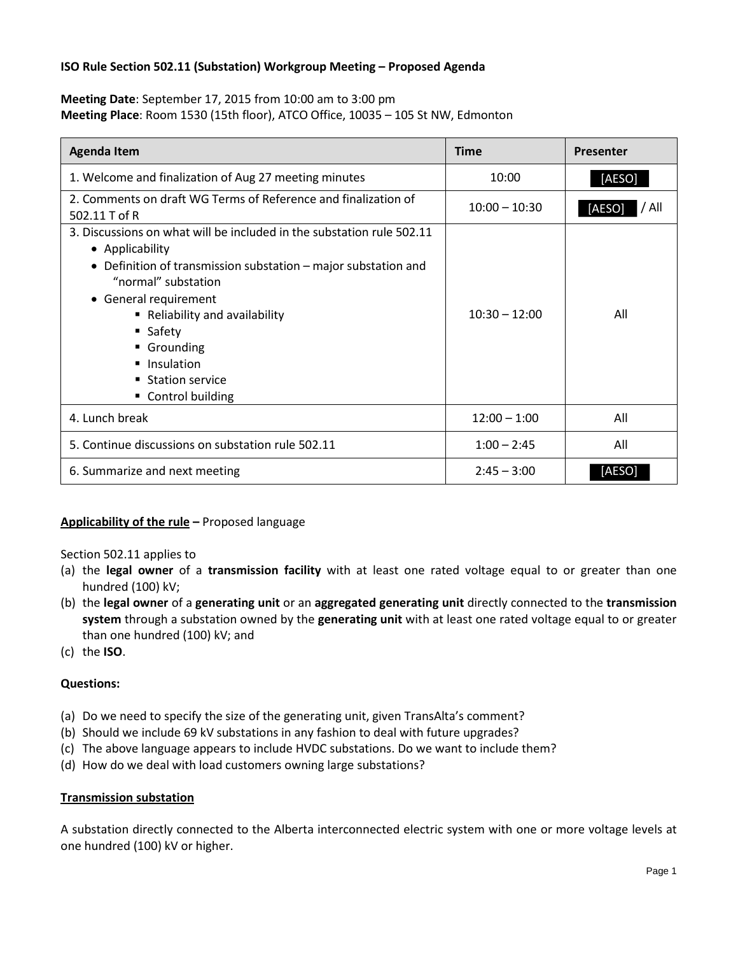# **ISO Rule Section 502.11 (Substation) Workgroup Meeting – Proposed Agenda**

**Meeting Date**: September 17, 2015 from 10:00 am to 3:00 pm **Meeting Place**: Room 1530 (15th floor), ATCO Office, 10035 – 105 St NW, Edmonton

| <b>Agenda Item</b>                                                                                                                                                                                                                                                                                                                          | <b>Time</b>     | <b>Presenter</b> |
|---------------------------------------------------------------------------------------------------------------------------------------------------------------------------------------------------------------------------------------------------------------------------------------------------------------------------------------------|-----------------|------------------|
| 1. Welcome and finalization of Aug 27 meeting minutes                                                                                                                                                                                                                                                                                       | 10:00           | [AESO]           |
| 2. Comments on draft WG Terms of Reference and finalization of<br>502.11 T of R                                                                                                                                                                                                                                                             | $10:00 - 10:30$ | / All<br>[AESO]  |
| 3. Discussions on what will be included in the substation rule 502.11<br>• Applicability<br>• Definition of transmission substation – major substation and<br>"normal" substation<br>• General requirement<br>Reliability and availability<br>$\blacksquare$ Safety<br>■ Grounding<br>• Insulation<br>■ Station service<br>Control building | $10:30 - 12:00$ | All              |
| 4. Lunch break                                                                                                                                                                                                                                                                                                                              | $12:00 - 1:00$  | All              |
| 5. Continue discussions on substation rule 502.11                                                                                                                                                                                                                                                                                           | $1:00 - 2:45$   | All              |
| 6. Summarize and next meeting                                                                                                                                                                                                                                                                                                               | $2:45 - 3:00$   | [AESO]           |

# **Applicability of the rule –** Proposed language

Section 502.11 applies to

- (a) the **legal owner** of a **transmission facility** with at least one rated voltage equal to or greater than one hundred (100) kV;
- (b) the **legal owner** of a **generating unit** or an **aggregated generating unit** directly connected to the **transmission system** through a substation owned by the **generating unit** with at least one rated voltage equal to or greater than one hundred (100) kV; and
- (c) the **ISO**.

# **Questions:**

- (a) Do we need to specify the size of the generating unit, given TransAlta's comment?
- (b) Should we include 69 kV substations in any fashion to deal with future upgrades?
- (c) The above language appears to include HVDC substations. Do we want to include them?
- (d) How do we deal with load customers owning large substations?

# **Transmission substation**

A substation directly connected to the Alberta interconnected electric system with one or more voltage levels at one hundred (100) kV or higher.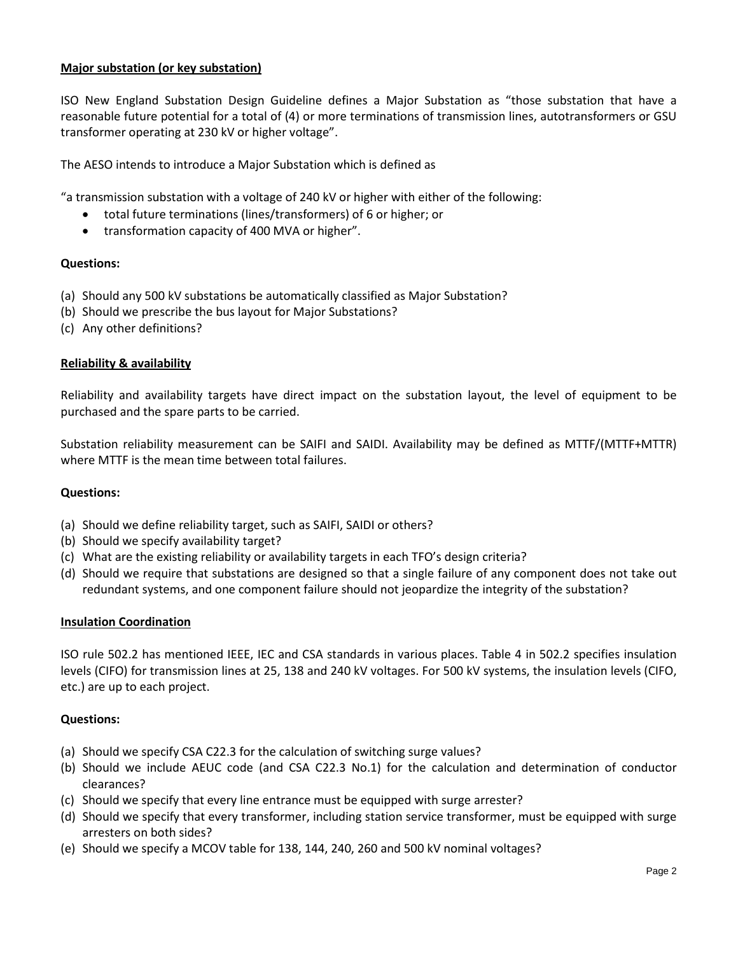# **Major substation (or key substation)**

ISO New England Substation Design Guideline defines a Major Substation as "those substation that have a reasonable future potential for a total of (4) or more terminations of transmission lines, autotransformers or GSU transformer operating at 230 kV or higher voltage".

The AESO intends to introduce a Major Substation which is defined as

"a transmission substation with a voltage of 240 kV or higher with either of the following:

- total future terminations (lines/transformers) of 6 or higher; or
- transformation capacity of 400 MVA or higher".

## **Questions:**

- (a) Should any 500 kV substations be automatically classified as Major Substation?
- (b) Should we prescribe the bus layout for Major Substations?
- (c) Any other definitions?

## **Reliability & availability**

Reliability and availability targets have direct impact on the substation layout, the level of equipment to be purchased and the spare parts to be carried.

Substation reliability measurement can be SAIFI and SAIDI. Availability may be defined as MTTF/(MTTF+MTTR) where MTTF is the mean time between total failures.

#### **Questions:**

- (a) Should we define reliability target, such as SAIFI, SAIDI or others?
- (b) Should we specify availability target?
- (c) What are the existing reliability or availability targets in each TFO's design criteria?
- (d) Should we require that substations are designed so that a single failure of any component does not take out redundant systems, and one component failure should not jeopardize the integrity of the substation?

#### **Insulation Coordination**

ISO rule 502.2 has mentioned IEEE, IEC and CSA standards in various places. Table 4 in 502.2 specifies insulation levels (CIFO) for transmission lines at 25, 138 and 240 kV voltages. For 500 kV systems, the insulation levels (CIFO, etc.) are up to each project.

#### **Questions:**

- (a) Should we specify CSA C22.3 for the calculation of switching surge values?
- (b) Should we include AEUC code (and CSA C22.3 No.1) for the calculation and determination of conductor clearances?
- (c) Should we specify that every line entrance must be equipped with surge arrester?
- (d) Should we specify that every transformer, including station service transformer, must be equipped with surge arresters on both sides?
- (e) Should we specify a MCOV table for 138, 144, 240, 260 and 500 kV nominal voltages?